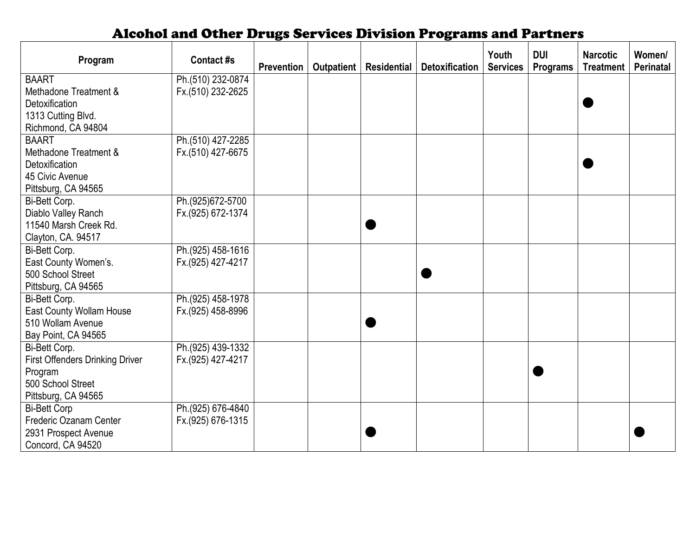## Alcohol and Other Drugs Services Division Programs and Partners

| Program                                                                                    | Contact #s                             | Prevention | Outpatient | <b>Residential</b> | <b>Detoxification</b> | Youth<br><b>Services</b> | <b>DUI</b><br><b>Programs</b> | <b>Narcotic</b><br><b>Treatment</b> | Women/<br><b>Perinatal</b> |
|--------------------------------------------------------------------------------------------|----------------------------------------|------------|------------|--------------------|-----------------------|--------------------------|-------------------------------|-------------------------------------|----------------------------|
| <b>BAART</b>                                                                               | Ph.(510) 232-0874                      |            |            |                    |                       |                          |                               |                                     |                            |
| Methadone Treatment &                                                                      | Fx.(510) 232-2625                      |            |            |                    |                       |                          |                               |                                     |                            |
| Detoxification                                                                             |                                        |            |            |                    |                       |                          |                               |                                     |                            |
| 1313 Cutting Blvd.                                                                         |                                        |            |            |                    |                       |                          |                               |                                     |                            |
| Richmond, CA 94804                                                                         |                                        |            |            |                    |                       |                          |                               |                                     |                            |
| <b>BAART</b>                                                                               | Ph.(510) 427-2285                      |            |            |                    |                       |                          |                               |                                     |                            |
| Methadone Treatment &                                                                      | Fx.(510) 427-6675                      |            |            |                    |                       |                          |                               |                                     |                            |
| Detoxification                                                                             |                                        |            |            |                    |                       |                          |                               |                                     |                            |
| 45 Civic Avenue                                                                            |                                        |            |            |                    |                       |                          |                               |                                     |                            |
| Pittsburg, CA 94565                                                                        |                                        |            |            |                    |                       |                          |                               |                                     |                            |
| Bi-Bett Corp.                                                                              | Ph.(925)672-5700                       |            |            |                    |                       |                          |                               |                                     |                            |
| Diablo Valley Ranch                                                                        | Fx.(925) 672-1374                      |            |            |                    |                       |                          |                               |                                     |                            |
| 11540 Marsh Creek Rd.                                                                      |                                        |            |            |                    |                       |                          |                               |                                     |                            |
| Clayton, CA. 94517                                                                         |                                        |            |            |                    |                       |                          |                               |                                     |                            |
| Bi-Bett Corp.                                                                              | Ph.(925) 458-1616                      |            |            |                    |                       |                          |                               |                                     |                            |
| East County Women's.                                                                       | Fx.(925) 427-4217                      |            |            |                    |                       |                          |                               |                                     |                            |
| 500 School Street                                                                          |                                        |            |            |                    |                       |                          |                               |                                     |                            |
| Pittsburg, CA 94565                                                                        |                                        |            |            |                    |                       |                          |                               |                                     |                            |
| Bi-Bett Corp.                                                                              | Ph.(925) 458-1978                      |            |            |                    |                       |                          |                               |                                     |                            |
| East County Wollam House                                                                   | Fx.(925) 458-8996                      |            |            |                    |                       |                          |                               |                                     |                            |
| 510 Wollam Avenue                                                                          |                                        |            |            |                    |                       |                          |                               |                                     |                            |
| Bay Point, CA 94565                                                                        |                                        |            |            |                    |                       |                          |                               |                                     |                            |
| Bi-Bett Corp.                                                                              | Ph.(925) 439-1332                      |            |            |                    |                       |                          |                               |                                     |                            |
| <b>First Offenders Drinking Driver</b>                                                     | Fx.(925) 427-4217                      |            |            |                    |                       |                          |                               |                                     |                            |
| Program<br>500 School Street                                                               |                                        |            |            |                    |                       |                          |                               |                                     |                            |
|                                                                                            |                                        |            |            |                    |                       |                          |                               |                                     |                            |
| Pittsburg, CA 94565                                                                        |                                        |            |            |                    |                       |                          |                               |                                     |                            |
|                                                                                            |                                        |            |            |                    |                       |                          |                               |                                     |                            |
|                                                                                            |                                        |            |            |                    |                       |                          |                               |                                     |                            |
|                                                                                            |                                        |            |            |                    |                       |                          |                               |                                     |                            |
| <b>Bi-Bett Corp</b><br>Frederic Ozanam Center<br>2931 Prospect Avenue<br>Concord, CA 94520 | Ph.(925) 676-4840<br>Fx.(925) 676-1315 |            |            |                    |                       |                          |                               |                                     |                            |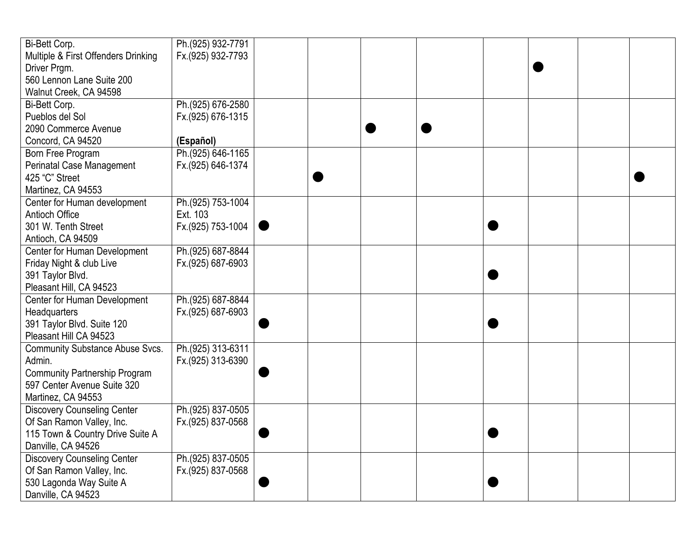| Bi-Bett Corp.                                                                                                                                                                                                                                                                                                                                                                                                                                                                                                                                                                                                                                                                                            | Ph.(925) 932-7791                                                                                                                                                                                                                                                    |  |  |  |  |
|----------------------------------------------------------------------------------------------------------------------------------------------------------------------------------------------------------------------------------------------------------------------------------------------------------------------------------------------------------------------------------------------------------------------------------------------------------------------------------------------------------------------------------------------------------------------------------------------------------------------------------------------------------------------------------------------------------|----------------------------------------------------------------------------------------------------------------------------------------------------------------------------------------------------------------------------------------------------------------------|--|--|--|--|
| Multiple & First Offenders Drinking                                                                                                                                                                                                                                                                                                                                                                                                                                                                                                                                                                                                                                                                      | Fx.(925) 932-7793                                                                                                                                                                                                                                                    |  |  |  |  |
| Driver Prgm.                                                                                                                                                                                                                                                                                                                                                                                                                                                                                                                                                                                                                                                                                             |                                                                                                                                                                                                                                                                      |  |  |  |  |
| 560 Lennon Lane Suite 200                                                                                                                                                                                                                                                                                                                                                                                                                                                                                                                                                                                                                                                                                |                                                                                                                                                                                                                                                                      |  |  |  |  |
| Walnut Creek, CA 94598                                                                                                                                                                                                                                                                                                                                                                                                                                                                                                                                                                                                                                                                                   |                                                                                                                                                                                                                                                                      |  |  |  |  |
| Bi-Bett Corp.                                                                                                                                                                                                                                                                                                                                                                                                                                                                                                                                                                                                                                                                                            | Ph.(925) 676-2580                                                                                                                                                                                                                                                    |  |  |  |  |
| Pueblos del Sol                                                                                                                                                                                                                                                                                                                                                                                                                                                                                                                                                                                                                                                                                          | Fx.(925) 676-1315                                                                                                                                                                                                                                                    |  |  |  |  |
| 2090 Commerce Avenue                                                                                                                                                                                                                                                                                                                                                                                                                                                                                                                                                                                                                                                                                     |                                                                                                                                                                                                                                                                      |  |  |  |  |
| Concord, CA 94520                                                                                                                                                                                                                                                                                                                                                                                                                                                                                                                                                                                                                                                                                        | (Español)                                                                                                                                                                                                                                                            |  |  |  |  |
| Born Free Program                                                                                                                                                                                                                                                                                                                                                                                                                                                                                                                                                                                                                                                                                        | Ph.(925) 646-1165                                                                                                                                                                                                                                                    |  |  |  |  |
| <b>Perinatal Case Management</b>                                                                                                                                                                                                                                                                                                                                                                                                                                                                                                                                                                                                                                                                         | Fx.(925) 646-1374                                                                                                                                                                                                                                                    |  |  |  |  |
| 425 "C" Street                                                                                                                                                                                                                                                                                                                                                                                                                                                                                                                                                                                                                                                                                           |                                                                                                                                                                                                                                                                      |  |  |  |  |
| Martinez, CA 94553                                                                                                                                                                                                                                                                                                                                                                                                                                                                                                                                                                                                                                                                                       |                                                                                                                                                                                                                                                                      |  |  |  |  |
|                                                                                                                                                                                                                                                                                                                                                                                                                                                                                                                                                                                                                                                                                                          |                                                                                                                                                                                                                                                                      |  |  |  |  |
|                                                                                                                                                                                                                                                                                                                                                                                                                                                                                                                                                                                                                                                                                                          |                                                                                                                                                                                                                                                                      |  |  |  |  |
|                                                                                                                                                                                                                                                                                                                                                                                                                                                                                                                                                                                                                                                                                                          |                                                                                                                                                                                                                                                                      |  |  |  |  |
|                                                                                                                                                                                                                                                                                                                                                                                                                                                                                                                                                                                                                                                                                                          |                                                                                                                                                                                                                                                                      |  |  |  |  |
|                                                                                                                                                                                                                                                                                                                                                                                                                                                                                                                                                                                                                                                                                                          |                                                                                                                                                                                                                                                                      |  |  |  |  |
|                                                                                                                                                                                                                                                                                                                                                                                                                                                                                                                                                                                                                                                                                                          |                                                                                                                                                                                                                                                                      |  |  |  |  |
|                                                                                                                                                                                                                                                                                                                                                                                                                                                                                                                                                                                                                                                                                                          |                                                                                                                                                                                                                                                                      |  |  |  |  |
|                                                                                                                                                                                                                                                                                                                                                                                                                                                                                                                                                                                                                                                                                                          |                                                                                                                                                                                                                                                                      |  |  |  |  |
|                                                                                                                                                                                                                                                                                                                                                                                                                                                                                                                                                                                                                                                                                                          |                                                                                                                                                                                                                                                                      |  |  |  |  |
|                                                                                                                                                                                                                                                                                                                                                                                                                                                                                                                                                                                                                                                                                                          |                                                                                                                                                                                                                                                                      |  |  |  |  |
|                                                                                                                                                                                                                                                                                                                                                                                                                                                                                                                                                                                                                                                                                                          |                                                                                                                                                                                                                                                                      |  |  |  |  |
|                                                                                                                                                                                                                                                                                                                                                                                                                                                                                                                                                                                                                                                                                                          |                                                                                                                                                                                                                                                                      |  |  |  |  |
|                                                                                                                                                                                                                                                                                                                                                                                                                                                                                                                                                                                                                                                                                                          |                                                                                                                                                                                                                                                                      |  |  |  |  |
|                                                                                                                                                                                                                                                                                                                                                                                                                                                                                                                                                                                                                                                                                                          |                                                                                                                                                                                                                                                                      |  |  |  |  |
|                                                                                                                                                                                                                                                                                                                                                                                                                                                                                                                                                                                                                                                                                                          |                                                                                                                                                                                                                                                                      |  |  |  |  |
|                                                                                                                                                                                                                                                                                                                                                                                                                                                                                                                                                                                                                                                                                                          |                                                                                                                                                                                                                                                                      |  |  |  |  |
|                                                                                                                                                                                                                                                                                                                                                                                                                                                                                                                                                                                                                                                                                                          |                                                                                                                                                                                                                                                                      |  |  |  |  |
|                                                                                                                                                                                                                                                                                                                                                                                                                                                                                                                                                                                                                                                                                                          |                                                                                                                                                                                                                                                                      |  |  |  |  |
|                                                                                                                                                                                                                                                                                                                                                                                                                                                                                                                                                                                                                                                                                                          |                                                                                                                                                                                                                                                                      |  |  |  |  |
|                                                                                                                                                                                                                                                                                                                                                                                                                                                                                                                                                                                                                                                                                                          |                                                                                                                                                                                                                                                                      |  |  |  |  |
|                                                                                                                                                                                                                                                                                                                                                                                                                                                                                                                                                                                                                                                                                                          |                                                                                                                                                                                                                                                                      |  |  |  |  |
|                                                                                                                                                                                                                                                                                                                                                                                                                                                                                                                                                                                                                                                                                                          |                                                                                                                                                                                                                                                                      |  |  |  |  |
|                                                                                                                                                                                                                                                                                                                                                                                                                                                                                                                                                                                                                                                                                                          |                                                                                                                                                                                                                                                                      |  |  |  |  |
|                                                                                                                                                                                                                                                                                                                                                                                                                                                                                                                                                                                                                                                                                                          |                                                                                                                                                                                                                                                                      |  |  |  |  |
| Center for Human development<br>Antioch Office<br>301 W. Tenth Street<br>Antioch, CA 94509<br>Center for Human Development<br>Friday Night & club Live<br>391 Taylor Blvd.<br>Pleasant Hill, CA 94523<br>Center for Human Development<br>Headquarters<br>391 Taylor Blvd. Suite 120<br>Pleasant Hill CA 94523<br>Community Substance Abuse Svcs.<br>Admin.<br><b>Community Partnership Program</b><br>597 Center Avenue Suite 320<br>Martinez, CA 94553<br><b>Discovery Counseling Center</b><br>Of San Ramon Valley, Inc.<br>115 Town & Country Drive Suite A<br>Danville, CA 94526<br><b>Discovery Counseling Center</b><br>Of San Ramon Valley, Inc.<br>530 Lagonda Way Suite A<br>Danville, CA 94523 | Ph.(925) 753-1004<br>Ext. 103<br>Fx.(925) 753-1004<br>Ph.(925) 687-8844<br>Fx.(925) 687-6903<br>Ph.(925) 687-8844<br>Fx.(925) 687-6903<br>Ph.(925) 313-6311<br>Fx.(925) 313-6390<br>Ph.(925) 837-0505<br>Fx.(925) 837-0568<br>Ph.(925) 837-0505<br>Fx.(925) 837-0568 |  |  |  |  |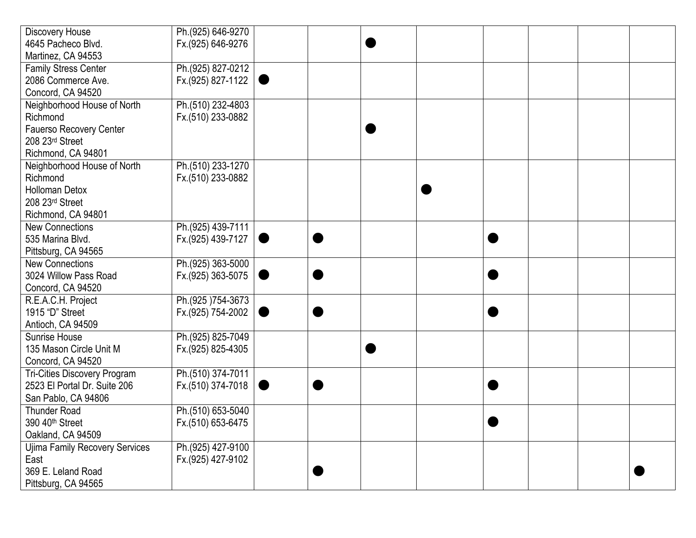| Discovery House                     | Ph.(925) 646-9270 |  |  |  |  |
|-------------------------------------|-------------------|--|--|--|--|
| 4645 Pacheco Blvd.                  | Fx.(925) 646-9276 |  |  |  |  |
| Martinez, CA 94553                  |                   |  |  |  |  |
| <b>Family Stress Center</b>         | Ph.(925) 827-0212 |  |  |  |  |
| 2086 Commerce Ave.                  | Fx.(925) 827-1122 |  |  |  |  |
| Concord, CA 94520                   |                   |  |  |  |  |
| Neighborhood House of North         | Ph.(510) 232-4803 |  |  |  |  |
| Richmond                            | Fx.(510) 233-0882 |  |  |  |  |
| Fauerso Recovery Center             |                   |  |  |  |  |
| 208 23rd Street                     |                   |  |  |  |  |
| Richmond, CA 94801                  |                   |  |  |  |  |
| Neighborhood House of North         | Ph.(510) 233-1270 |  |  |  |  |
| Richmond                            | Fx.(510) 233-0882 |  |  |  |  |
| <b>Holloman Detox</b>               |                   |  |  |  |  |
| 208 23rd Street                     |                   |  |  |  |  |
| Richmond, CA 94801                  |                   |  |  |  |  |
| <b>New Connections</b>              | Ph.(925) 439-7111 |  |  |  |  |
| 535 Marina Blvd.                    | Fx.(925) 439-7127 |  |  |  |  |
| Pittsburg, CA 94565                 |                   |  |  |  |  |
| <b>New Connections</b>              | Ph.(925) 363-5000 |  |  |  |  |
| 3024 Willow Pass Road               | Fx.(925) 363-5075 |  |  |  |  |
| Concord, CA 94520                   |                   |  |  |  |  |
| R.E.A.C.H. Project                  | Ph.(925)754-3673  |  |  |  |  |
| 1915 "D" Street                     | Fx.(925) 754-2002 |  |  |  |  |
| Antioch, CA 94509                   |                   |  |  |  |  |
| Sunrise House                       | Ph.(925) 825-7049 |  |  |  |  |
| 135 Mason Circle Unit M             | Fx.(925) 825-4305 |  |  |  |  |
| Concord, CA 94520                   |                   |  |  |  |  |
| <b>Tri-Cities Discovery Program</b> | Ph.(510) 374-7011 |  |  |  |  |
| 2523 El Portal Dr. Suite 206        | Fx.(510) 374-7018 |  |  |  |  |
| San Pablo, CA 94806                 |                   |  |  |  |  |
| <b>Thunder Road</b>                 | Ph.(510) 653-5040 |  |  |  |  |
| 390 40 <sup>th</sup> Street         | Fx.(510) 653-6475 |  |  |  |  |
| Oakland, CA 94509                   |                   |  |  |  |  |
| Ujima Family Recovery Services      | Ph.(925) 427-9100 |  |  |  |  |
| East                                | Fx.(925) 427-9102 |  |  |  |  |
| 369 E. Leland Road                  |                   |  |  |  |  |
| Pittsburg, CA 94565                 |                   |  |  |  |  |